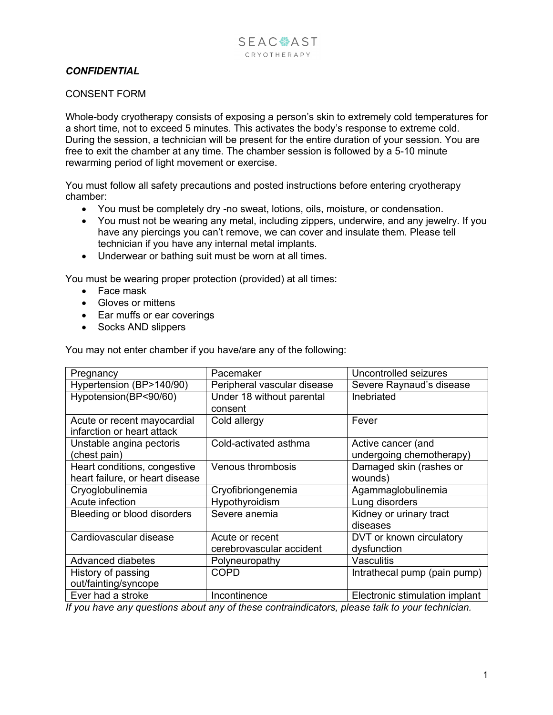## *CONFIDENTIAL*

## CONSENT FORM

Whole-body cryotherapy consists of exposing a person's skin to extremely cold temperatures for a short time, not to exceed 5 minutes. This activates the body's response to extreme cold. During the session, a technician will be present for the entire duration of your session. You are free to exit the chamber at any time. The chamber session is followed by a 5-10 minute rewarming period of light movement or exercise.

You must follow all safety precautions and posted instructions before entering cryotherapy chamber:

- You must be completely dry -no sweat, lotions, oils, moisture, or condensation.
- You must not be wearing any metal, including zippers, underwire, and any jewelry. If you have any piercings you can't remove, we can cover and insulate them. Please tell technician if you have any internal metal implants.
- Underwear or bathing suit must be worn at all times.

You must be wearing proper protection (provided) at all times:

- Face mask
- Gloves or mittens
- Ear muffs or ear coverings
- Socks AND slippers

You may not enter chamber if you have/are any of the following:

| Pregnancy                                                       | Pacemaker                                   | Uncontrolled seizures                          |
|-----------------------------------------------------------------|---------------------------------------------|------------------------------------------------|
| Hypertension (BP>140/90)                                        | Peripheral vascular disease                 | Severe Raynaud's disease                       |
| Hypotension(BP<90/60)                                           | Under 18 without parental<br>consent        | Inebriated                                     |
| Acute or recent mayocardial<br>infarction or heart attack       | Cold allergy                                | Fever                                          |
| Unstable angina pectoris<br>(chest pain)                        | Cold-activated asthma                       | Active cancer (and<br>undergoing chemotherapy) |
| Heart conditions, congestive<br>heart failure, or heart disease | Venous thrombosis                           | Damaged skin (rashes or<br>wounds)             |
| Cryoglobulinemia                                                | Cryofibriongenemia                          | Agammaglobulinemia                             |
| Acute infection                                                 | Hypothyroidism                              | Lung disorders                                 |
| Bleeding or blood disorders                                     | Severe anemia                               | Kidney or urinary tract<br>diseases            |
| Cardiovascular disease                                          | Acute or recent<br>cerebrovascular accident | DVT or known circulatory<br>dysfunction        |
| Advanced diabetes                                               | Polyneuropathy                              | Vasculitis                                     |
| History of passing<br>out/fainting/syncope                      | <b>COPD</b>                                 | Intrathecal pump (pain pump)                   |
| Ever had a stroke                                               | Incontinence                                | Electronic stimulation implant                 |

*If you have any questions about any of these contraindicators, please talk to your technician.*